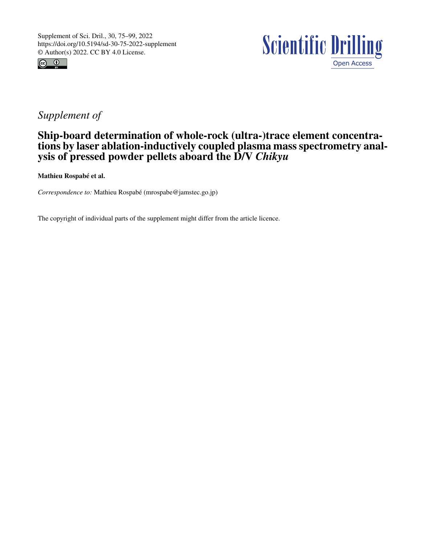



## *Supplement of*

## Ship-board determination of whole-rock (ultra-)trace element concentrations by laser ablation-inductively coupled plasma mass spectrometry analysis of pressed powder pellets aboard the D/V *Chikyu*

Mathieu Rospabé et al.

*Correspondence to:* Mathieu Rospabé (mrospabe@jamstec.go.jp)

The copyright of individual parts of the supplement might differ from the article licence.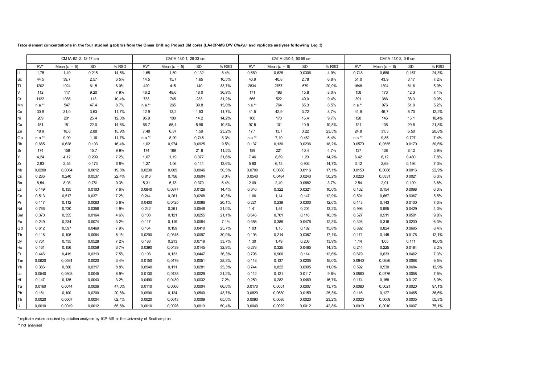|           | CM1A-6Z-2, 12-17 cm |                |        |       | CM1A-18Z-1, 26-33 cm |                |        |        | CM1A-25Z-4, 50-59 cm |                |        |        | CM1A-41Z-2, 0-6 cm |                |        |        |
|-----------|---------------------|----------------|--------|-------|----------------------|----------------|--------|--------|----------------------|----------------|--------|--------|--------------------|----------------|--------|--------|
|           | $RV^*$              | Mean $(n = 5)$ | SD     | % RSD | $RV^*$               | Mean $(n = 5)$ | SD     | % RSD  | $RV^*$               | Mean $(n = 6)$ | SD     | % RSD  | $RV^*$             | Mean $(n = 6)$ | SD     | % RSD  |
| Li        | 1,75                | 1,49           | 0,215  | 14,5% | 1,65                 | 1,59           | 0,132  | 8,4%   | 0,669                | 0,628          | 0,0306 | 4,9%   | 0,748              | 0.686          | 0,167  | 24,3%  |
| <b>Sc</b> | 44,5                | 39,7           | 2,57   | 6,5%  | 14,5                 | 15,7           | 1,65   | 10,5%  | 40, 9                | 40,8           | 2,78   | 6,8%   | 51,0               | 43,9           | 3,17   | 7,2%   |
| Ti        | 1202                | 1024           | 61,5   | 6,0%  | 420                  | 415            | 140    | 33,7%  | 2834                 | 2767           | 579    | 20,9%  | 1648               | 1394           | 81,6   | 5,9%   |
| V         | 112                 | 117            | 9,20   | 7,9%  | 46,2                 | 48,6           | 18,0   | 36,9%  | 171                  | 198            | 15,8   | 8,0%   | 158                | 173            | 12,3   | 7,1%   |
| Cr        | 1122                | 1085           | 113    | 10,4% | 733                  | 745            | 233    | 31,2%  | 565                  | 522            | 49,0   | 9,4%   | 391                | 386            | 38,3   | 9,9%   |
| Mn        | $n.a.**$            | 547            | 47,4   | 8,7%  | $n.a.**$             | 265            | 39,8   | 15,0%  | $n.a.**$             | 764            | 65,3   | 8,5%   | $n.a.**$           | 976            | 51,0   | 5,2%   |
| Co        | 30,9                | 31,0           | 3,63   | 11,7% | 12,9                 | 13,2           | 1,53   | 11,7%  | 41,5                 | 42,9           | 3,72   | 8,7%   | 41,9               | 46,7           | 5,70   | 12,2%  |
| Ni        | 209                 | 201            | 25,4   | 12,6% | 95,9                 | 100            | 14,2   | 14,2%  | 160                  | 170            | 16,4   | 9,7%   | 128                | 146            | 15,1   | 10,4%  |
| Cu        | 151                 | 151            | 22,0   | 14,6% | 66,7                 | 55,4           | 5,96   | 10,8%  | 97,5                 | 101            | 10, 9  | 10,8%  | 121                | 136            | 29,6   | 21,8%  |
| Zn        | 18,9                | 18,0           | 2,88   | 15,9% | 7,48                 | 6,87           | 1,59   | 23,2%  | 17,1                 | 13,7           | 3,22   | 23,5%  | 24,8               | 31,3           | 6,50   | 20,8%  |
| Ga        | $n.a.**$            | 9,90           | 1,16   | 11,7% | $n.a.**$             | 8,99           | 0,745  | 8,3%   | $n.a.**$             | 7,19           | 0,462  | 6,4%   | $n.a.**$           | 9,85           | 0,727  | 7,4%   |
| <b>Rb</b> | 0,685               | 0,628          | 0, 103 | 16,4% | 1,02                 | 0,974          | 0,0925 | 9,5%   | 0,137                | 0,130          | 0,0236 | 18,2%  | 0,0570             | 0,0555         | 0,0170 | 30,6%  |
| Sr        | 174                 | 158            | 15,7   | 9,9%  | 174                  | 189            | 21,6   | 11,5%  | 189                  | 221            | 10,4   | 4,7%   | 137                | 138            | 8,12   | 5,9%   |
| ΙY        | 4,24                | 4,12           | 0,299  | 7,2%  | 1,07                 | 1,19           | 0,377  | 31,6%  | 7,46                 | 8,69           | 1,23   | 14,2%  | 6,42               | 6, 12          | 0,480  | 7,8%   |
| Zr        | 2,93                | 2,55           | 0,173  | 6,8%  | 1,27                 | 1,06           | 0,144  | 13,6%  | 5,80                 | 6,13           | 0,902  | 14,7%  | 3, 12              | 2,68           | 0,196  | 7,3%   |
| <b>Nb</b> | 0,0280              | 0,0064         | 0,0012 | 19,6% | 0,0230               | 0,009          | 0,0046 | 50,5%  | 0,0700               | 0,0680         | 0,0116 | 17, 1% | 0,0150             | 0,0068         | 0,0016 | 22,9%  |
| Cs        | 0,286               | 0,240          | 0,0537 | 22,4% | 0,813                | 0,756          | 0,0604 | 8,0%   | 0,0540               | 0,0484         | 0,0243 | 50,2%  | 0,0220             | 0,0331         | 0,0021 | 6,3%   |
| Ba        | 8,54                | 8,08           | 0,751  | 9,3%  | 5,31                 | 5,78           | 0,370  | 6,4%   | 2,09                 | 2,40           | 0,0882 | 3,7%   | 2,54               | 2,91           | 0,109  | 3,8%   |
| La        | 0,149               | 0,135          | 0,0103 | 7,6%  | 0,0840               | 0,0877         | 0,0126 | 14,4%  | 0,346                | 0,322          | 0,0321 | 10,0%  | 0,162              | 0,154          | 0,0098 | 6,3%   |
| Ce        | 0,513               | 0,517          | 0,0371 | 7,2%  | 0,244                | 0,261          | 0,0268 | 10,3%  | 1,06                 | 1,14           | 0,147  | 12,9%  | 0,591              | 0,667          | 0,0367 | 5,5%   |
| Pr        | 0, 117              | 0, 112         | 0,0063 | 5,6%  | 0,0400               | 0,0425         | 0,0086 | 20, 1% | 0,221                | 0,239          | 0,0300 | 12,6%  | 0,143              | 0,143          | 0,0100 | 7,0%   |
| Nd        | 0,766               | 0,730          | 0,0356 | 4,9%  | 0,242                | 0,261          | 0,0548 | 21,0%  | 1,41                 | 1,54           | 0,204  | 13,2%  | 0,996              | 0,995          | 0,0429 | 4,3%   |
| Sm        | 0,370               | 0,355          | 0,0164 | 4,6%  | 0,108                | 0,121          | 0,0255 | 21,1%  | 0,645                | 0,701          | 0, 116 | 16,5%  | 0,527              | 0,511          | 0,0501 | 9,8%   |
| Eu        | 0,249               | 0,234          | 0,0074 | 3,2%  | 0, 117               | 0, 119         | 0,0084 | 7,1%   | 0,355                | 0,386          | 0,0476 | 12,3%  | 0,326              | 0,318          | 0,0200 | 6,3%   |
| Gd        | 0,612               | 0,597          | 0,0469 | 7,9%  | 0,164                | 0, 159         | 0,0410 | 25,7%  | 1,03                 | 1, 15          | 0,182  | 15,8%  | 0,892              | 0,824          | 0,0695 | 8,4%   |
| Tb        | 0,116               | 0, 105         | 0,0064 | 6,1%  | 0,0290               | 0,0315         | 0,0097 | 30,9%  | 0,193                | 0,214          | 0,0367 | 17, 1% | 0,171              | 0, 145         | 0,0176 | 12, 1% |
| Dy        | 0,761               | 0,735          | 0,0528 | 7,2%  | 0,188                | 0,213          | 0,0719 | 33,7%  | 1,30                 | 1,49           | 0,208  | 13,9%  | 1, 14              | 1,05           | 0,111  | 10,6%  |
| Ho        | 0,161               | 0,156          | 0,0058 | 3,7%  | 0,0390               | 0,0439         | 0,0145 | 32,9%  | 0,278                | 0,325          | 0,0465 | 14,3%  | 0,244              | 0,225          | 0,0184 | 8,2%   |
| Er        | 0,446               | 0,419          | 0,0313 | 7,5%  | 0,108                | 0,123          | 0,0447 | 36,3%  | 0,795                | 0,906          | 0,114  | 12,6%  | 0,679              | 0,633          | 0,0462 | 7,3%   |
| Tm        | 0,0620              | 0,0591         | 0,0020 | 3,4%  | 0,0150               | 0,0179         | 0,0051 | 28,3%  | 0, 118               | 0,137          | 0,0205 | 15,0%  | 0,0940             | 0,0926         | 0,0088 | 9,5%   |
| Yb        | 0,386               | 0,360          | 0,0317 | 8,8%  | 0,0940               | 0, 111         | 0,0281 | 25,3%  | 0,744                | 0,822          | 0,0905 | 11,0%  | 0,592              | 0,530          | 0,0684 | 12,9%  |
| Lu        | 0,0540              | 0,0508         | 0,0045 | 8,9%  | 0,0130               | 0,0135         | 0,0029 | 21,2%  | 0, 112               | 0,121          | 0,0117 | 9,6%   | 0,0860             | 0,0776         | 0,0058 | 7,5%   |
| Hf        | 0,147               | 0,135          | 0,0043 | 3,2%  | 0,0490               | 0,0439         | 0,0032 | 7,2%   | 0,250                | 0,282          | 0,0469 | 16,7%  | 0,174              | 0,158          | 0,0127 | 8,0%   |
| Ta        | 0,0160              | 0,0014         | 0,0006 | 47,0% | 0,0110               | 0,0006         | 0,0004 | 66,0%  | 0,0170               | 0,0051         | 0,0007 | 13,7%  | 0,0080             | 0,0021         | 0,0020 | 97, 1% |
| Pb        | 0,161               | 0,100          | 0,0209 | 20,8% | 0,0990               | 0,124          | 0,0540 | 43,7%  | 0,0820               | 0,0630         | 0,0159 | 25,3%  | 0, 116             | 0,127          | 0,0465 | 36,6%  |
| Th        | 0,0020              | 0,0007         | 0,0004 | 62,4% | 0,0020               | 0,0013         | 0,0009 | 65,0%  | 0,0090               | 0,0086         | 0,0020 | 23,2%  | 0,0020             | 0,0009         | 0,0005 | 55,8%  |
| U         | 0.0010              | 0.0019         | 0,0012 | 65,6% | 0,0010               | 0,0026         | 0,0013 | 50,4%  | 0,0040               | 0.0029         | 0,0012 | 42.8%  | 0,0010             | 0,0010         | 0.0007 | 75, 1% |

**Trace element concentrations in the four studied gabbros from the Oman Drilling Project CM cores (LA-ICP-MS D/V** *Chikyu* **and replicate analyses following Leg 3)**

\* replicate values acquired by solution analyses by ICP-MS at the University of Southampton

\*\* not analysed